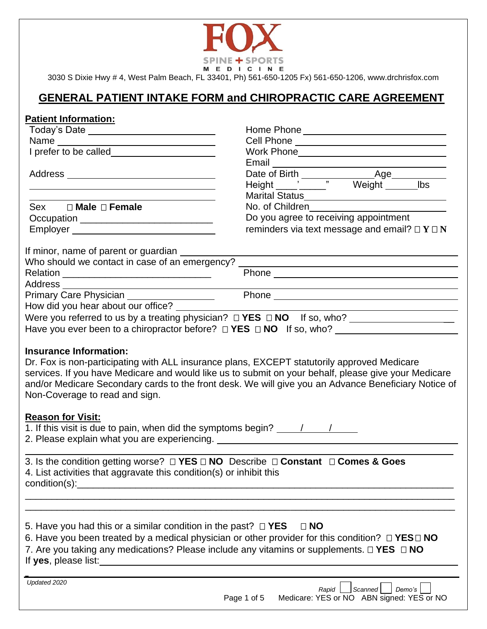

## **GENERAL PATIENT INTAKE FORM and CHIROPRACTIC CARE AGREEMENT**

#### **Patient Information:**

| Cell Phone _______________________________<br><u> 1989 - Johann Barbara, martxa alemaniar amerikan a</u><br>Marital Status<br><u>Marital Status</u><br>Sex □ Male □ Female<br>No. of Children<br>Do you agree to receiving appointment<br>Occupation ______________________________<br>reminders via text message and email? $\Box Y \Box N$<br>If minor, name of parent or guardian _____<br>Who should we contact in case of an emergency?<br>Phone experience and the state of the state of the state of the state of the state of the state of the state of the state of the state of the state of the state of the state of the state of the state of the state of the st<br>Address<br><u> 1980 - Johann Barn, mars an t-Amerikaansk kommunister (</u><br>Primary Care Physician <u>Constant Communication</u> Phone <b>Phone</b> Phone <b>Phone Phone Phone Phone Phone Phone Phone Phone Phone Phone Phone Phone Phone Phone Phone Phone Phone Phone Phone P</b><br>How did you hear about our office? ___<br>Were you referred to us by a treating physician? $\Box$ YES $\Box$ NO If so, who? ______________________<br><b>Insurance Information:</b><br>Dr. Fox is non-participating with ALL insurance plans, EXCEPT statutorily approved Medicare<br>services. If you have Medicare and would like us to submit on your behalf, please give your Medicare<br>and/or Medicare Secondary cards to the front desk. We will give you an Advance Beneficiary Notice of<br>Non-Coverage to read and sign.<br><b>Reason for Visit:</b><br>1. If this visit is due to pain, when did the symptoms begin? $\frac{1}{\sqrt{2}}$<br>2. Please explain what you are experiencing. Notice that the control of the control of the control of the control of the control of the control of the control of the control of the control of the control of the control of<br>3. Is the condition getting worse? $\Box$ YES $\Box$ NO Describe $\Box$ Constant $\Box$ Comes & Goes<br>4. List activities that aggravate this condition(s) or inhibit this<br>condition(s):<br>5. Have you had this or a similar condition in the past? $\Box$ <b>YES</b><br>$\Box$ NO<br>6. Have you been treated by a medical physician or other provider for this condition? $\Box$ YES $\Box$ NO<br>7. Are you taking any medications? Please include any vitamins or supplements. $\Box$ YES $\Box$ NO<br>If yes, please list:<br><u> 1989 - Johann Harry Harry Harry Harry Harry Harry Harry Harry Harry Harry Harry Harry Harry Harry Harry Harry</u><br>Updated 2020<br>Rapid<br>Scanned<br>Demo's<br>Medicare: YES or NO ABN signed: YES or NO<br>Page 1 of 5 |  |  |  |
|------------------------------------------------------------------------------------------------------------------------------------------------------------------------------------------------------------------------------------------------------------------------------------------------------------------------------------------------------------------------------------------------------------------------------------------------------------------------------------------------------------------------------------------------------------------------------------------------------------------------------------------------------------------------------------------------------------------------------------------------------------------------------------------------------------------------------------------------------------------------------------------------------------------------------------------------------------------------------------------------------------------------------------------------------------------------------------------------------------------------------------------------------------------------------------------------------------------------------------------------------------------------------------------------------------------------------------------------------------------------------------------------------------------------------------------------------------------------------------------------------------------------------------------------------------------------------------------------------------------------------------------------------------------------------------------------------------------------------------------------------------------------------------------------------------------------------------------------------------------------------------------------------------------------------------------------------------------------------------------------------------------------------------------------------------------------------------------------------------------------------------------------------------------------------------------------------------------------------------------------------------------------------------------------------------------------------------------------------------------------------------------------------------------------------------------------------------------------------------------------------------------------------------------------------------------------------------------------------------------------------------------------|--|--|--|
|                                                                                                                                                                                                                                                                                                                                                                                                                                                                                                                                                                                                                                                                                                                                                                                                                                                                                                                                                                                                                                                                                                                                                                                                                                                                                                                                                                                                                                                                                                                                                                                                                                                                                                                                                                                                                                                                                                                                                                                                                                                                                                                                                                                                                                                                                                                                                                                                                                                                                                                                                                                                                                                |  |  |  |
|                                                                                                                                                                                                                                                                                                                                                                                                                                                                                                                                                                                                                                                                                                                                                                                                                                                                                                                                                                                                                                                                                                                                                                                                                                                                                                                                                                                                                                                                                                                                                                                                                                                                                                                                                                                                                                                                                                                                                                                                                                                                                                                                                                                                                                                                                                                                                                                                                                                                                                                                                                                                                                                |  |  |  |
|                                                                                                                                                                                                                                                                                                                                                                                                                                                                                                                                                                                                                                                                                                                                                                                                                                                                                                                                                                                                                                                                                                                                                                                                                                                                                                                                                                                                                                                                                                                                                                                                                                                                                                                                                                                                                                                                                                                                                                                                                                                                                                                                                                                                                                                                                                                                                                                                                                                                                                                                                                                                                                                |  |  |  |
|                                                                                                                                                                                                                                                                                                                                                                                                                                                                                                                                                                                                                                                                                                                                                                                                                                                                                                                                                                                                                                                                                                                                                                                                                                                                                                                                                                                                                                                                                                                                                                                                                                                                                                                                                                                                                                                                                                                                                                                                                                                                                                                                                                                                                                                                                                                                                                                                                                                                                                                                                                                                                                                |  |  |  |
|                                                                                                                                                                                                                                                                                                                                                                                                                                                                                                                                                                                                                                                                                                                                                                                                                                                                                                                                                                                                                                                                                                                                                                                                                                                                                                                                                                                                                                                                                                                                                                                                                                                                                                                                                                                                                                                                                                                                                                                                                                                                                                                                                                                                                                                                                                                                                                                                                                                                                                                                                                                                                                                |  |  |  |
|                                                                                                                                                                                                                                                                                                                                                                                                                                                                                                                                                                                                                                                                                                                                                                                                                                                                                                                                                                                                                                                                                                                                                                                                                                                                                                                                                                                                                                                                                                                                                                                                                                                                                                                                                                                                                                                                                                                                                                                                                                                                                                                                                                                                                                                                                                                                                                                                                                                                                                                                                                                                                                                |  |  |  |
|                                                                                                                                                                                                                                                                                                                                                                                                                                                                                                                                                                                                                                                                                                                                                                                                                                                                                                                                                                                                                                                                                                                                                                                                                                                                                                                                                                                                                                                                                                                                                                                                                                                                                                                                                                                                                                                                                                                                                                                                                                                                                                                                                                                                                                                                                                                                                                                                                                                                                                                                                                                                                                                |  |  |  |
|                                                                                                                                                                                                                                                                                                                                                                                                                                                                                                                                                                                                                                                                                                                                                                                                                                                                                                                                                                                                                                                                                                                                                                                                                                                                                                                                                                                                                                                                                                                                                                                                                                                                                                                                                                                                                                                                                                                                                                                                                                                                                                                                                                                                                                                                                                                                                                                                                                                                                                                                                                                                                                                |  |  |  |
|                                                                                                                                                                                                                                                                                                                                                                                                                                                                                                                                                                                                                                                                                                                                                                                                                                                                                                                                                                                                                                                                                                                                                                                                                                                                                                                                                                                                                                                                                                                                                                                                                                                                                                                                                                                                                                                                                                                                                                                                                                                                                                                                                                                                                                                                                                                                                                                                                                                                                                                                                                                                                                                |  |  |  |
|                                                                                                                                                                                                                                                                                                                                                                                                                                                                                                                                                                                                                                                                                                                                                                                                                                                                                                                                                                                                                                                                                                                                                                                                                                                                                                                                                                                                                                                                                                                                                                                                                                                                                                                                                                                                                                                                                                                                                                                                                                                                                                                                                                                                                                                                                                                                                                                                                                                                                                                                                                                                                                                |  |  |  |
|                                                                                                                                                                                                                                                                                                                                                                                                                                                                                                                                                                                                                                                                                                                                                                                                                                                                                                                                                                                                                                                                                                                                                                                                                                                                                                                                                                                                                                                                                                                                                                                                                                                                                                                                                                                                                                                                                                                                                                                                                                                                                                                                                                                                                                                                                                                                                                                                                                                                                                                                                                                                                                                |  |  |  |
|                                                                                                                                                                                                                                                                                                                                                                                                                                                                                                                                                                                                                                                                                                                                                                                                                                                                                                                                                                                                                                                                                                                                                                                                                                                                                                                                                                                                                                                                                                                                                                                                                                                                                                                                                                                                                                                                                                                                                                                                                                                                                                                                                                                                                                                                                                                                                                                                                                                                                                                                                                                                                                                |  |  |  |
|                                                                                                                                                                                                                                                                                                                                                                                                                                                                                                                                                                                                                                                                                                                                                                                                                                                                                                                                                                                                                                                                                                                                                                                                                                                                                                                                                                                                                                                                                                                                                                                                                                                                                                                                                                                                                                                                                                                                                                                                                                                                                                                                                                                                                                                                                                                                                                                                                                                                                                                                                                                                                                                |  |  |  |
|                                                                                                                                                                                                                                                                                                                                                                                                                                                                                                                                                                                                                                                                                                                                                                                                                                                                                                                                                                                                                                                                                                                                                                                                                                                                                                                                                                                                                                                                                                                                                                                                                                                                                                                                                                                                                                                                                                                                                                                                                                                                                                                                                                                                                                                                                                                                                                                                                                                                                                                                                                                                                                                |  |  |  |
|                                                                                                                                                                                                                                                                                                                                                                                                                                                                                                                                                                                                                                                                                                                                                                                                                                                                                                                                                                                                                                                                                                                                                                                                                                                                                                                                                                                                                                                                                                                                                                                                                                                                                                                                                                                                                                                                                                                                                                                                                                                                                                                                                                                                                                                                                                                                                                                                                                                                                                                                                                                                                                                |  |  |  |
|                                                                                                                                                                                                                                                                                                                                                                                                                                                                                                                                                                                                                                                                                                                                                                                                                                                                                                                                                                                                                                                                                                                                                                                                                                                                                                                                                                                                                                                                                                                                                                                                                                                                                                                                                                                                                                                                                                                                                                                                                                                                                                                                                                                                                                                                                                                                                                                                                                                                                                                                                                                                                                                |  |  |  |
|                                                                                                                                                                                                                                                                                                                                                                                                                                                                                                                                                                                                                                                                                                                                                                                                                                                                                                                                                                                                                                                                                                                                                                                                                                                                                                                                                                                                                                                                                                                                                                                                                                                                                                                                                                                                                                                                                                                                                                                                                                                                                                                                                                                                                                                                                                                                                                                                                                                                                                                                                                                                                                                |  |  |  |
|                                                                                                                                                                                                                                                                                                                                                                                                                                                                                                                                                                                                                                                                                                                                                                                                                                                                                                                                                                                                                                                                                                                                                                                                                                                                                                                                                                                                                                                                                                                                                                                                                                                                                                                                                                                                                                                                                                                                                                                                                                                                                                                                                                                                                                                                                                                                                                                                                                                                                                                                                                                                                                                |  |  |  |
|                                                                                                                                                                                                                                                                                                                                                                                                                                                                                                                                                                                                                                                                                                                                                                                                                                                                                                                                                                                                                                                                                                                                                                                                                                                                                                                                                                                                                                                                                                                                                                                                                                                                                                                                                                                                                                                                                                                                                                                                                                                                                                                                                                                                                                                                                                                                                                                                                                                                                                                                                                                                                                                |  |  |  |
|                                                                                                                                                                                                                                                                                                                                                                                                                                                                                                                                                                                                                                                                                                                                                                                                                                                                                                                                                                                                                                                                                                                                                                                                                                                                                                                                                                                                                                                                                                                                                                                                                                                                                                                                                                                                                                                                                                                                                                                                                                                                                                                                                                                                                                                                                                                                                                                                                                                                                                                                                                                                                                                |  |  |  |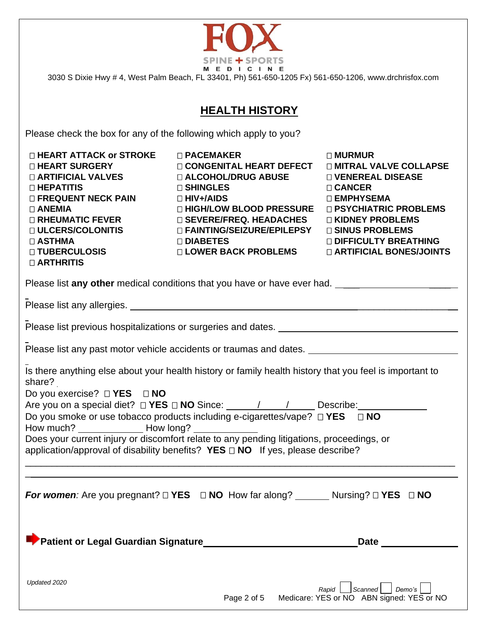

# **HEALTH HISTORY**

Please check the box for any of the following which apply to you?

| □ HEART ATTACK or STROKE<br>□ HEART SURGERY<br><b>DARTIFICIAL VALVES</b><br>□ HEPATITIS<br><b>DEREQUENT NECK PAIN</b><br>$\Box$ ANEMIA<br>$\square$ RHEUMATIC FEVER<br>□ ULCERS/COLONITIS<br>$\Box$ ASTHMA<br>□ TUBERCULOSIS<br><b>D ARTHRITIS</b>                                                                                                                                                                                                 | $\Box$ PACEMAKER<br>□ CONGENITAL HEART DEFECT<br><b>□ ALCOHOL/DRUG ABUSE</b><br>□ SHINGLES<br>$\Box$ HIV+/AIDS<br>□ HIGH/LOW BLOOD PRESSURE<br>$\square$ SEVERE/FREQ. HEADACHES<br>□ FAINTING/SEIZURE/EPILEPSY<br>□ DIABETES<br><b>□ LOWER BACK PROBLEMS</b> | □ MURMUR<br><b>DIMITRAL VALVE COLLAPSE</b><br>□ VENEREAL DISEASE<br>□ CANCER<br>□ EMPHYSEMA<br>□ PSYCHIATRIC PROBLEMS<br>□ KIDNEY PROBLEMS<br>□ SINUS PROBLEMS<br><b>DIFFICULTY BREATHING</b><br><b>D ARTIFICIAL BONES/JOINTS</b> |  |  |
|----------------------------------------------------------------------------------------------------------------------------------------------------------------------------------------------------------------------------------------------------------------------------------------------------------------------------------------------------------------------------------------------------------------------------------------------------|--------------------------------------------------------------------------------------------------------------------------------------------------------------------------------------------------------------------------------------------------------------|-----------------------------------------------------------------------------------------------------------------------------------------------------------------------------------------------------------------------------------|--|--|
|                                                                                                                                                                                                                                                                                                                                                                                                                                                    | Please list any other medical conditions that you have or have ever had. ___________________________                                                                                                                                                         |                                                                                                                                                                                                                                   |  |  |
|                                                                                                                                                                                                                                                                                                                                                                                                                                                    |                                                                                                                                                                                                                                                              |                                                                                                                                                                                                                                   |  |  |
| Please list previous hospitalizations or surgeries and dates.                                                                                                                                                                                                                                                                                                                                                                                      |                                                                                                                                                                                                                                                              |                                                                                                                                                                                                                                   |  |  |
| Please list any past motor vehicle accidents or traumas and dates. _________________________________                                                                                                                                                                                                                                                                                                                                               |                                                                                                                                                                                                                                                              |                                                                                                                                                                                                                                   |  |  |
| Is there anything else about your health history or family health history that you feel is important to<br>share?<br>Do you exercise? $\square$ <b>YES</b> $\square$ <b>NO</b><br>Do you smoke or use tobacco products including e-cigarettes/vape? □ YES □ NO<br>Does your current injury or discomfort relate to any pending litigations, proceedings, or<br>application/approval of disability benefits? $YES \Box NO$ If yes, please describe? |                                                                                                                                                                                                                                                              |                                                                                                                                                                                                                                   |  |  |
| For women: Are you pregnant? $\Box$ YES $\Box$ NO How far along? ________ Nursing? $\Box$ YES $\Box$ NO                                                                                                                                                                                                                                                                                                                                            |                                                                                                                                                                                                                                                              |                                                                                                                                                                                                                                   |  |  |
| Patient or Legal Guardian Signature                                                                                                                                                                                                                                                                                                                                                                                                                |                                                                                                                                                                                                                                                              | <b>Date</b>                                                                                                                                                                                                                       |  |  |
| Updated 2020                                                                                                                                                                                                                                                                                                                                                                                                                                       | Page 2 of 5                                                                                                                                                                                                                                                  | $\vert$ Scanned $\vert$<br>Demo's<br>Rapid<br>Medicare: YES or NO ABN signed: YES or NO                                                                                                                                           |  |  |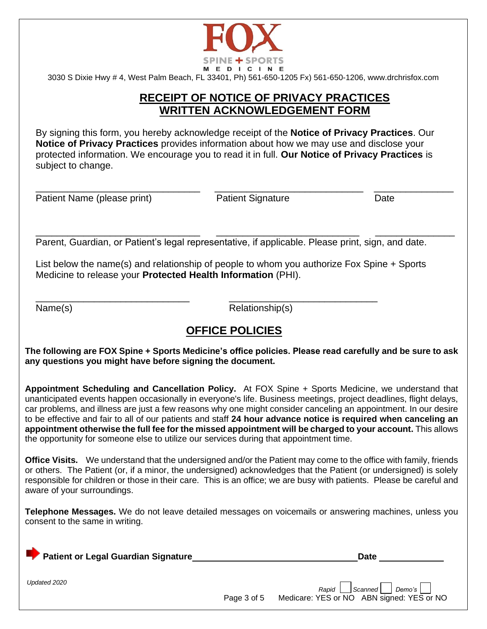

### **RECEIPT OF NOTICE OF PRIVACY PRACTICES WRITTEN ACKNOWLEDGEMENT FORM**

By signing this form, you hereby acknowledge receipt of the **Notice of Privacy Practices**. Our **Notice of Privacy Practices** provides information about how we may use and disclose your protected information. We encourage you to read it in full. **Our Notice of Privacy Practices** is subject to change.

Patient Name (please print) The Patient Signature Patient Signature Date

\_\_\_\_\_\_\_\_\_\_\_\_\_\_\_\_\_\_\_\_\_\_\_\_\_\_\_\_\_\_\_ \_\_\_\_\_\_\_\_\_\_\_\_\_\_\_\_\_\_\_\_\_\_\_\_\_\_\_\_ \_\_\_\_\_\_\_\_\_\_\_\_\_\_\_

\_\_\_\_\_\_\_\_\_\_\_\_\_\_\_\_\_\_\_\_\_\_\_\_\_\_\_\_\_\_\_ \_\_\_\_\_\_\_\_\_\_\_\_\_\_\_\_\_\_\_\_\_\_\_\_\_\_\_ \_\_\_\_\_\_\_\_\_\_\_\_\_\_\_

Parent, Guardian, or Patient's legal representative, if applicable. Please print, sign, and date.

List below the name(s) and relationship of people to whom you authorize Fox Spine + Sports Medicine to release your **Protected Health Information** (PHI).

\_\_\_\_\_\_\_\_\_\_\_\_\_\_\_\_\_\_\_\_\_\_\_\_\_\_\_\_\_ \_\_\_\_\_\_\_\_\_\_\_\_\_\_\_\_\_\_\_\_\_\_\_\_\_\_\_\_

Name(s) Relationship(s)

## **OFFICE POLICIES**

**The following are FOX Spine + Sports Medicine's office policies. Please read carefully and be sure to ask any questions you might have before signing the document.**

**Appointment Scheduling and Cancellation Policy.** At FOX Spine + Sports Medicine, we understand that unanticipated events happen occasionally in everyone's life. Business meetings, project deadlines, flight delays, car problems, and illness are just a few reasons why one might consider canceling an appointment. In our desire to be effective and fair to all of our patients and staff **24 hour advance notice is required when canceling an appointment otherwise the full fee for the missed appointment will be charged to your account.** This allows the opportunity for someone else to utilize our services during that appointment time.

**Office Visits.** We understand that the undersigned and/or the Patient may come to the office with family, friends or others. The Patient (or, if a minor, the undersigned) acknowledges that the Patient (or undersigned) is solely responsible for children or those in their care. This is an office; we are busy with patients. Please be careful and aware of your surroundings.

**Telephone Messages.** We do not leave detailed messages on voicemails or answering machines, unless you consent to the same in writing.

| <b>Patient or Legal Guardian Signature</b> | Date                                                                  |
|--------------------------------------------|-----------------------------------------------------------------------|
| Updated 2020                               | $\mathsf{S}$ canned $\mathsf{\lceil}$<br>Demo's<br>Rapid <sup>I</sup> |

Page 3 of 5 Medicare: YES or NO ABN signed: YES or NO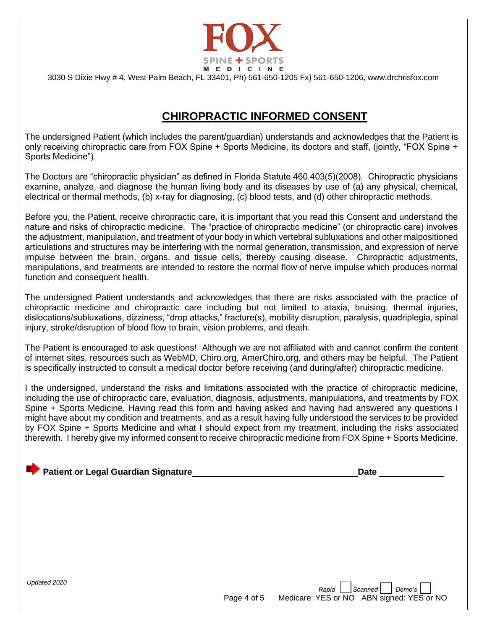

## **CHIROPRACTIC INFORMED CONSENT**

The undersigned Patient (which includes the parent/guardian) understands and acknowledges that the Patient is only receiving chiropractic care from FOX Spine + Sports Medicine, its doctors and staff, (jointly, "FOX Spine + Sports Medicine").

The Doctors are "chiropractic physician" as defined in Florida Statute 460.403(5)(2008). Chiropractic physicians examine, analyze, and diagnose the human living body and its diseases by use of (a) any physical, chemical, electrical or thermal methods, (b) x-ray for diagnosing, (c) blood tests, and (d) other chiropractic methods.

Before you, the Patient, receive chiropractic care, it is important that you read this Consent and understand the nature and risks of chiropractic medicine. The "practice of chiropractic medicine" (or chiropractic care) involves the adjustment, manipulation, and treatment of your body in which vertebral subluxations and other malpositioned articulations and structures may be interfering with the normal generation, transmission, and expression of nerve impulse between the brain, organs, and tissue cells, thereby causing disease. Chiropractic adjustments, manipulations, and treatments are intended to restore the normal flow of nerve impulse which produces normal function and consequent health.

The undersigned Patient understands and acknowledges that there are risks associated with the practice of chiropractic medicine and chiropractic care including but not limited to ataxia, bruising, thermal injuries, dislocations/subluxations, dizziness, "drop attacks," fracture(s), mobility disruption, paralysis, quadriplegia, spinal injury, stroke/disruption of blood flow to brain, vision problems, and death.

The Patient is encouraged to ask questions! Although we are not affiliated with and cannot confirm the content of internet sites, resources such as WebMD, Chiro.org, AmerChiro.org, and others may be helpful. The Patient is specifically instructed to consult a medical doctor before receiving (and during/after) chiropractic medicine.

I the undersigned, understand the risks and limitations associated with the practice of chiropractic medicine, including the use of chiropractic care, evaluation, diagnosis, adjustments, manipulations, and treatments by FOX Spine + Sports Medicine. Having read this form and having asked and having had answered any questions I might have about my condition and treatments, and as a result having fully understood the services to be provided by FOX Spine + Sports Medicine and what I should expect from my treatment, including the risks associated therewith. I hereby give my informed consent to receive chiropractic medicine from FOX Spine + Sports Medicine.

#### **Patient or Legal Guardian Signature All and Signature Date in the United State** Date **Date**

*Updated 2020*

*Rapid* Scanned Permo's **Rapid** Boarned Permo's **Provis** Page 4 of 5 Medicare: YES or NO ABN signed: YES or NO